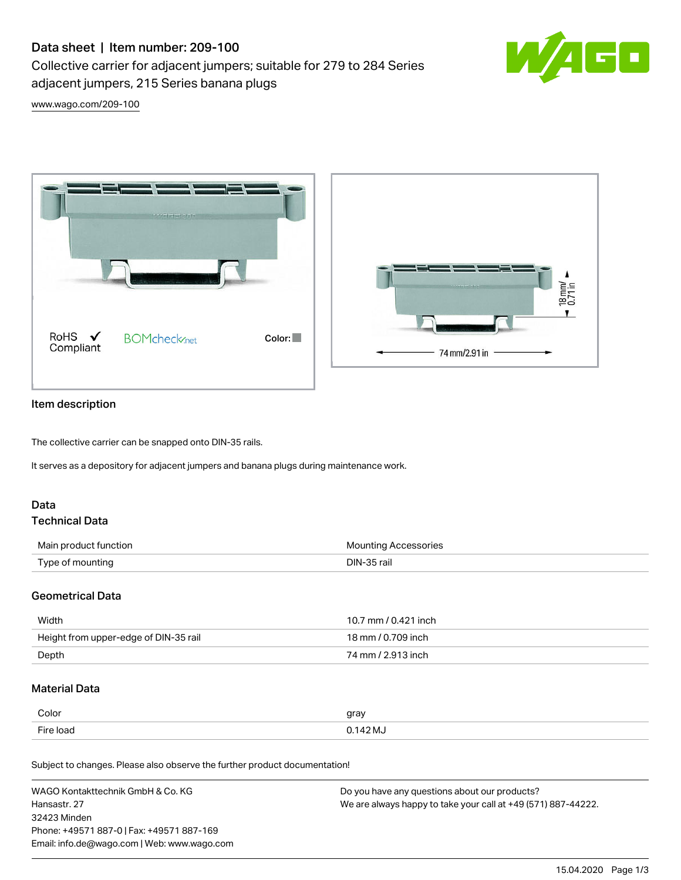# Data sheet | Item number: 209-100

Collective carrier for adjacent jumpers; suitable for 279 to 284 Series adjacent jumpers, 215 Series banana plugs



[www.wago.com/209-100](http://www.wago.com/209-100)





### Item description

The collective carrier can be snapped onto DIN-35 rails.

It serves as a depository for adjacent jumpers and banana plugs during maintenance work.

# Data

# Technical Data

| Main product function | <b>Mounting Accessories</b> |
|-----------------------|-----------------------------|
| Type of mounting      | DIN-35 rail                 |

#### Geometrical Data

| Width                                 | 10.7 mm / 0.421 inch |
|---------------------------------------|----------------------|
| Height from upper-edge of DIN-35 rail | 18 mm / 0.709 inch   |
| Depth                                 | 74 mm / 2.913 inch   |

# Material Data

| Color     | gray       |
|-----------|------------|
| Fire load | $0.142$ MJ |

Subject to changes. Please also observe the further product documentation!

| WAGO Kontakttechnik GmbH & Co. KG           | Do you have any questions about our products?                 |
|---------------------------------------------|---------------------------------------------------------------|
| Hansastr. 27                                | We are always happy to take your call at +49 (571) 887-44222. |
| 32423 Minden                                |                                                               |
| Phone: +49571 887-01 Fax: +49571 887-169    |                                                               |
| Email: info.de@wago.com   Web: www.wago.com |                                                               |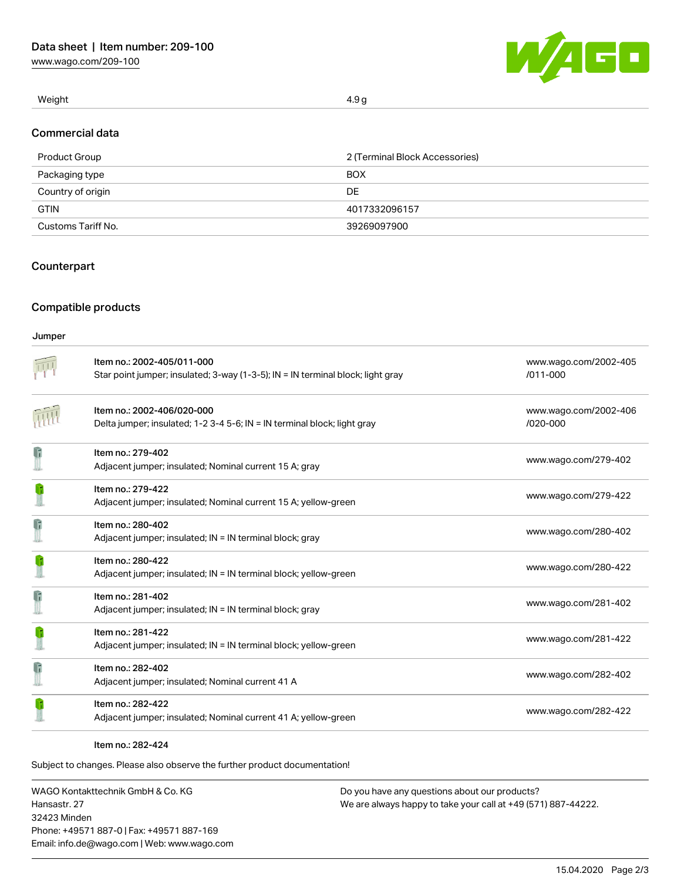[www.wago.com/209-100](http://www.wago.com/209-100)



Weight  $4.9\,\mathrm{g}$ 

#### Commercial data

| Product Group      | 2 (Terminal Block Accessories) |  |
|--------------------|--------------------------------|--|
| Packaging type     | <b>BOX</b>                     |  |
| Country of origin  | DE                             |  |
| <b>GTIN</b>        | 4017332096157                  |  |
| Customs Tariff No. | 39269097900                    |  |

# **Counterpart**

# Compatible products

#### Jumper

|              | Item no.: 2002-405/011-000<br>Star point jumper; insulated; 3-way (1-3-5); IN = IN terminal block; light gray | www.wago.com/2002-405<br>$/011 - 000$ |
|--------------|---------------------------------------------------------------------------------------------------------------|---------------------------------------|
|              | Item no.: 2002-406/020-000<br>Delta jumper; insulated; 1-2 3-4 5-6; IN = IN terminal block; light gray        | www.wago.com/2002-406<br>/020-000     |
| $\mathbf{r}$ | Item no.: 279-402<br>Adjacent jumper; insulated; Nominal current 15 A; gray                                   | www.wago.com/279-402                  |
|              | Item no.: 279-422<br>Adjacent jumper; insulated; Nominal current 15 A; yellow-green                           | www.wago.com/279-422                  |
| G            | Item no.: 280-402<br>Adjacent jumper; insulated; IN = IN terminal block; gray                                 | www.wago.com/280-402                  |
|              | Item no.: 280-422<br>Adjacent jumper; insulated; IN = IN terminal block; yellow-green                         | www.wago.com/280-422                  |
| G            | Item no.: 281-402<br>Adjacent jumper; insulated; IN = IN terminal block; gray                                 | www.wago.com/281-402                  |
|              | Item no.: 281-422<br>Adjacent jumper; insulated; IN = IN terminal block; yellow-green                         | www.wago.com/281-422                  |
| G            | Item no.: 282-402<br>Adjacent jumper; insulated; Nominal current 41 A                                         | www.wago.com/282-402                  |
|              | Item no.: 282-422<br>Adjacent jumper; insulated; Nominal current 41 A; yellow-green                           | www.wago.com/282-422                  |

#### Item no.: 282-424

Subject to changes. Please also observe the further product documentation!

WAGO Kontakttechnik GmbH & Co. KG Hansastr. 27 32423 Minden Phone: +49571 887-0 | Fax: +49571 887-169 Email: info.de@wago.com | Web: www.wago.com Do you have any questions about our products? We are always happy to take your call at +49 (571) 887-44222.